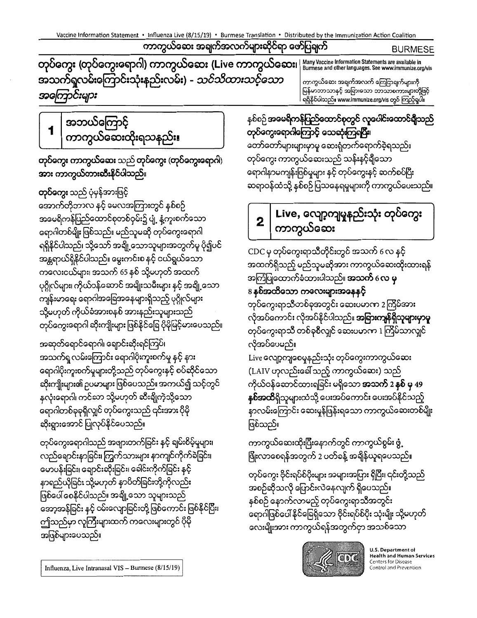ကာကွယ်ဆေး အချက်အလက်များဆိုင်ရာ ဖော်ပြချက်

**BURMESE** 

တုပ်ကွေး (တုပ်ကွေးရောဂါ) ကာကွယ်ဆေး (Live ကာကွယ်ဆေး၊ Many Vaccine Information Statements are available in<br>Burmese and other languages. See www.immunize.org/vis အသက်ရှူလမ်းကြောင်းသုံးနည်းလမ်း) - *သင်သိထားသင့်သော* အကြောင်းများ

အဘယ်ကြောင့် 1 ကာကွယ်ဆေးထိုးရသနည်း၊

တုပ်ကွေး ကာကွယ်ဆေး သည် တုပ်ကွေး (တုပ်ကွေးရောဂါ) အား ကာကွယ်တားဆီးနိင်ပါသည်။

**တုပ်ကွေး** သည် ပုံမှန်အားဖြင့် အောက်တိုဘာလ နင့် မေလအကြားတွင် နစ်စဉ် အမေရိကန်ပြည်ထောင်စုတစ်ဝှမ်း၌ ပျံ့ နံ့ကူးစက်သော ရောဂါတစ်မျိုးဖြစ်သည်။ မည်သူမဆို တုပ်ကွေးရောဂါ ရရှိနိုင်ပါသည်၊ သို့သော် အချို့သောသူများအတွက်မူ ပို၍ပင် အန္တရာယ်ရှိနိုင်ပါသည်။ မွေးကင်းစ နှင့် ငယ်ရွယ်သော ကလေးငယ်များ၊ အသက် 65 နစ် သို့မဟုတ် အထက် ပုဂ္ဂိုလ်များ၊ ကိုယ်ဝန်ဆောင် အမျိုးသမီးများ နင့် အချို့သော ကျန်းမာရေး ရောဂါအခြေအနေများရှိသည့် ပုဂ္ဂိုလ်များ သို့မဟုတ် ကိုယ်ခံအားစနစ် အားနည်းသူများသည် တုပ်ကွေးရောဂါ ဆိုးကျိုးများ ဖြစ်နိုင်ခြေ ပိုမိုမြင့်မားပေသည်။

အဆုတ်ရောင်ရောဂါ၊ ရောင်းဆိုးရင်ကြပ်၊ အသက်ရှ လမ်းကြောင်း ရောဂါပိုးကူးစက်မှု နှင့် နား ရောဂါပိုးကူးစက်မှုများတို့သည် တုပ်ကွေးနှင့် စပ်ဆိုင်သော ဆိုးကျိုးများ၏ ဥပမာများ ဖြစ်ပေသည်။ အကယ်၍ သင့်တွင် နှလုံးရောဂါ၊ ကင်ဆာ သို့မဟုတ် ဆီးချိုကဲ့သို့သော ရောဂါတစ်ခုခုရှိလျှင် တုပ်ကွေးသည် ၎င်းအား ပိုမို ဆိုးရွားအောင် ပြုလုပ်နိုင်ပေသည်။

တုပ်ကွေးရောဂါသည် အဖျားတက်ခြင်း နင့် ချမ်းစိမ့်မှုများ၊ လည်ချောင်းနာခြင်း၊ ကြွက်သားများ နာကျင်ကိုက်ခဲခြင်း၊ မောပန်းခြင်း၊ ချောင်းဆိုးခြင်း၊ ခေါင်းကိုက်ခြင်း နှင့် နာရည်ယိုခြင်း သို့မဟုတ် နာပိတ်ခြင်းတို့ကိုလည်း ဖြစ်ပေါ် စေနိုင်ပါသည်။ အချို့သော သူများသည် အော့အန်ခြင်း နှင့် ဝမ်းလျောခြင်းတို့ ဖြစ်ကောင်း ဖြစ်နိုင်ပြီး၊ ဤသည်မှာ လူကြီးများထက် ကလေးများတွင် ပိုမို အဖြစ်များပေသည်။

ကာကွယ်ဆေး အချက်အလက် ကြေငြာချက်များကို မြန်မာဘာသာနှင့် အခြားသော ဘာသာစကားများတို့ဖြင့် ရရှိနိုင်ပါသည်။ www.immunize.org/vis တွင် ကြည့်ရှုပါ။

နစ်စဉ်အမေရိကန်ပြည်ထောင်စုတွင် လူပေါင်းထောင်ရှိသည် တုပ်ကွေးရောဂါကြောင့် သေဆုံးကြရပြီး၊ တော်တော်များများမှာမူ ဆေးရုံတက်ရောက်ခဲ့ရသည်။ တုပ်ကွေး ကာကွယ်ဆေးသည် သန်းနင့်ရိုသော ရောဂါနာမကျန်းဖြစ်မှုများ နှင့် တုပ်ကွေးနှင့် ဆက်စပ်ပြီး ဆရာဝန်ထံသို့ နစ်စဉ်ပြသနေရမှုများကို ကာကွယ်ပေးသည်။

## Live, လျော့ကျမှုနည်းသုံး တုပ်ကွေး  $\boldsymbol{2}$ ကာကွယ်ဆေး

CDC မှ တုပ်ကွေးရာသီတိုင်းတွင် အသက် 6 လ နင့် အထက်ရှိသည့် မည်သူမဆိုအား ကာကွယ်ဆေးထိုးထားရန် အကြံပြုထောက်ခံထားပါသည်။ **အသက်** 6 **လ မှ** 8 နစ်အထိသော ကလေးများအနေနင့် တုပ်ကွေးရာသီတစ်ခုအတွင်း ဆေးပမာက 2 ကြိမ်အား လိုအပ်ကောင်း လိုအပ်နိုင်ပါသည်။ **အခြားကျန်ရှိသူများမှာမူ** တုပ်ကွေးရာသီ တစ်ခုစီလျှင် ဆေးပမာဏ 1 ကြိမ်သာလျှင်

လိုအပ်ပေမည်။ Live လျော့ကျစေမှုနည်းသုံး တုပ်ကွေးကာကွယ်ဆေး (LAIV ဟုလည်းခေါ် သည့် ကာကွယ်ဆေး) သည် ကိုယ်ဝန်ဆောင်ထားရခြင်း မရှိသော **အသက် 2 နှစ် မှ 4**9 **နှစ်အထိ**ရှိသူများထံသို့ ပေးအပ်ကောင်း ပေးအပ်နိုင်သည့် နာလမ်းကြောင်း ဆေးမှုန်ဖြန်းရသော ကာကွယ်ဆေးတစ်မျိုး ဖြစ်သည်။

ကာကွယ်ဆေးထိုးပြီးနောက်တွင် ကာကွယ်စွမ်း ဖွံ့ ဖြိုးလာစေရန်အတွက် 2 ပတ်ခန့် အချိန်ယူရပေသည်။

တုပ်ကွေး ဗိုင်းရပ်စ်ပိုးများ အများအပြား ရှိပြီး၊ ၎င်းတို့သည် အစဉ်ဆိုသလို ပြောင်းလဲနေလျက် ရှိပေသည်။ နစ်စဉ် နောက်လာမည့် တုပ်ကွေးရာသီအတွင်း ရောဂါဖြစ်ပေါ် နိုင်ခြေရှိသော ဗိုင်းရပ်စ်ပိုး သုံးမျိုး သို့မဟုတ် လေးမျိုးအား ကာကွယ်ရန်အတွက်ငှာ အသစ်သော



U.S. Department of **Health and Human Services Centers for Disease** Control and Prevention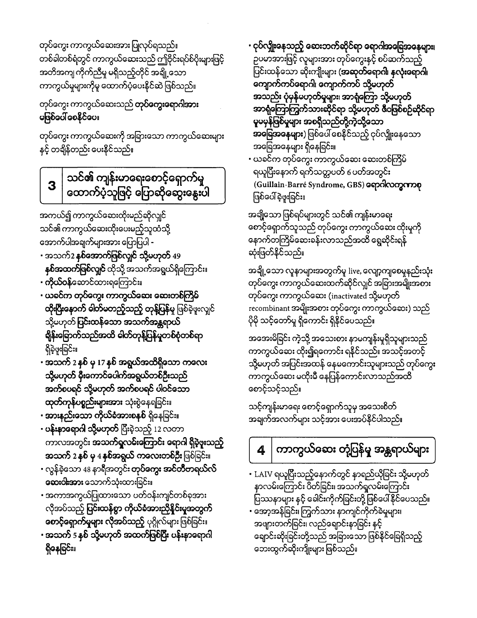**စောင့်ရှောက်မှုများ လိုအပ်သည့်** ပုဂ္ဂိုလ်များဖြစ်ခြင်း။ • အသက် 5 နှစ် သို့မဟုတ် အထက်ဖြစ်ပြီး ပန်းနာရောဂါ ရှိနေခြင်း။

လိုအပ်သည့် **ပြင်းထန်စွာ ကိုယ်ခံအားညိုနိုင်းမူအတွက်** 

- **အသက် 2 နှစ် မှ 4 နှစ်အရွယ် ကလေးတစ်ဦး** ဖြစ်ခြင်း။ • လွန်ခဲ့သော 48 နာရီအတွင်း **တုပ်ကွေး အင်တီဗာရယ်လ် ဆေးငါးအား** သောက်သုံးထားခြင်း။ • အကာအကွယ်ပြုထားသော ပတ်ဝန်းကျင်တစ်ခုအား
- ပ**န်းနာရောဂါ သို့မဟုတ်** ပြီးခဲ့သည့် 12 လတာ ကာလအတွင်း အသက်ရှူလမ်းကြောင်း ရောဂါ ရှိခဲ့ဖူးသည့်
- အားနည်းသော ကိုယ်ခံအားစနစ် ရှိနေခြင်း။
- အသက် 2 နစ် မှ 17 နစ် အရွယ်အထိရှိသော ကလေး သို့မဟုတ် မှီးကောင်ပေါက်အရွယ်တစ်ဦးသည် အက်စပရင် သို့မဟုတ် အက်စပရင် ပါဝင်သော ထုတ်ကုန်ပစ္စည်းများအား သုံးစွဲနေရခြင်း။
- ယခင်က တုပ်ကွေး ကာကွယ်ဆေး ဆေးတစ်ကြိ<mark>မ်</mark> ထိုးပြီးနောက် ဓါတ်မတည့်သည့် တုန့်ပြန်မှု ဖြစ်ခဲ့ဖူးလျှင် သို့မဟုတ် ပြ**င်းထန်သော အသက်အန္တရာယ်** ရှိန်းခြောက်သည်အထိ ဓါတ်တုန့်ပြန်မှုတစ်စုံတစ်ရာ ရှိခဲ့ဖူးခြင်း။
- **ကိုယ်ဝန်**ဆောင်ထားရကြောင်း။
- အသက်2 **နှစ်အောက်ဖြစ်လျှင် သို့မဟုတ်** 49 **နှစ်အထက်ဖြစ်လျှင်** ထိုသို့ အသက်အရွယ်ရှိကြောင်း။
- သင်၏ ကာကွယ်ဆေးထိုးပေးမည့်သူထံသို့ အောက်ပါအချက်များအား ပြောပြပါ -
- အကယ်၍ ကာကွယ်ဆေးထိုးမည်ဆိုလျှင်
- သင်၏ ကျန်းမာရေးစောင့်ရှောက်မှု 3 ထောက်ပံ့သူဖြင့် ပြောဆိုဆွေးနွေးပါ

တုပ်ကွေး ကာကွယ်ဆေးကို အခြားသော ကာကွယ်ဆေးများ နှင့် တချိန်တည်း ပေးနိုင်သည်။

## မဖြစ်ပေါ် စေနိုင်ပေ။

တုပ်ကွေး ကာကွယ်ဆေးသည် **တုပ်ကွေးရောဂါအား** 

တုပ်ကွေး ကာကွယ်ဆေးအား ပြုလုပ်ရသည်။ တစ်ခါတစ်ရံတွင် ကာကွယ်ဆေးသည် ဤဗိုင်းရပ်စ်ပိုးများဖြင့် အတိအကျ ကိုက်ညီမှု မရှိသည့်တိုင် အချို့သော ကာကွယ်မှုများကိုမူ ထောက်ပံ့ပေးနိုင်ဆဲဖြစ်သည်။

> ပြဿနာများ နှင့် ခေါင်းကိုက်ခြင်းတို့ ဖြစ်ပေါ်နိုင်ပေသည်။ • အော့အန်ခြင်း၊ ကြွက်သား နာကျင်ကိုက်ခဲမှုများ၊ အဖျားတက်ခြင်း၊ လည်ချောင်းနာခြင်း နင့် ချောင်းဆိုးခြင်းတို့သည် အခြားသော ဖြစ်နိုင်ခြေရှိသည့် ဘေးထွက်ဆိုးကျိုးများ ဖြစ်သည်။

ကာကွယ်ဆေး တုံ့ပြန်မှု အန္တရာယ်များ 4

• LAIV ရယူပြီးသည့်နောက်တွင် နာရည်ယိုခြင်း သို့မဟုတ်

နာလမ်းကြောင်း ပိတ်ခြင်း၊ အသက်ရှလမ်းကြောင်း

သင့်ကျန်းမာရေး စောင့်ရှောက်သူမှ အသေးစိတ် အချက်အလက်များ သင့်အား ပေးအပ်နိုင်ပါသည်။

အအေးမိခြင်း ကဲ့သို့ အသေးစား နာမကျန်းမှုရှိသူများသည် ကာကွယ်ဆေး ထိုး၍ရကောင်း ရနိုင်သည်။ အသင့်အတင့် သို့မဟုတ် အပြင်းအထန် နေမကောင်းသူများသည် တုပ်ကွေး ကာကွယ်ဆေး မထိုးမီ နေပြန်ကောင်းလာသည်အထိ စောင့်သင့်သည်။

အချို့သော လူနာများအတွက်မူ live, လျော့ကျစေမှုနည်းသုံး တုပ်ကွေး ကာကွယ်ဆေးထက်ဆိုင်လျှင် အခြားအမျိုးအစား တုပ်ကွေး ကာကွယ်ဆေး (inactivated သို့မဟုတ် recombinant အမျိုးအစား တုပ်ကွေး ကာကွယ်ဆေး) သည် ပိုမို သင့်တော်မှု ရှိကောင်း ရှိနိုင်ပေသည်။

အချို့သော ဖြစ်ရပ်များတွင် သင်၏ ကျန်းမာရေး စောင့်ရှောက်သူသည် တုပ်ကွေး ကာကွယ်ဆေး ထိုးမှုကို နောက်တကြိမ်ဆေးခန်းလာသည်အထိ ရွေဆိုင်းရန် ဆုံးဖြတ်နိုင်သည်။

- ယခင်က တုပ်ကွေး ကာကွယ်ဆေး ဆေးတစ်ကြိမ် ရယူပြီးနောက် ရက်သတ္တပတ် 6 ပတ်အတွင်း (Guillain-Barré Syndrome, GBS) ရောဂါလက္စကာစု ဖြစ်ပေါ် ခဲ့ဖူးခြင်း။
- ငုပ်လျှိုးနေသည့် ဆေးဘက်ဆိုင်ရာ ရောဂါအခြေအနေများ၊ ဉပမာအားဖြင့် လူများအား တုပ်ကွေးနှင့် စပ်ဆက်သည့် ပြင်းထန်သော ဆိုးကျိုးများ (**အဆုတ်ရောဂါ၊ နှလုံးရောဂါ၊** ကျောက်ကပ်ရောဂါ၊ ကျောက်ကပ် သို့မဟုတ် အသည်း ပုံမှန်မဟုတ်မှုများ၊ အာရုံကြော သို့မဟုတ် အာရုံကြောကြွက်သားဆိုင်ရာ သို့မဟုတ် ဇီဝဖြစ်စဉ်ဆိုင်ရာ မူမမှန်ဖြစ်မှုများ အစရှိသည်တို့ကဲ့သို့သော အခြေအနေများ) ဖြစ်ပေါ် စေနိုင်သည့် ငုပ်လျှိုးနေသော အခြေအနေများ ရှိနေခြင်း။